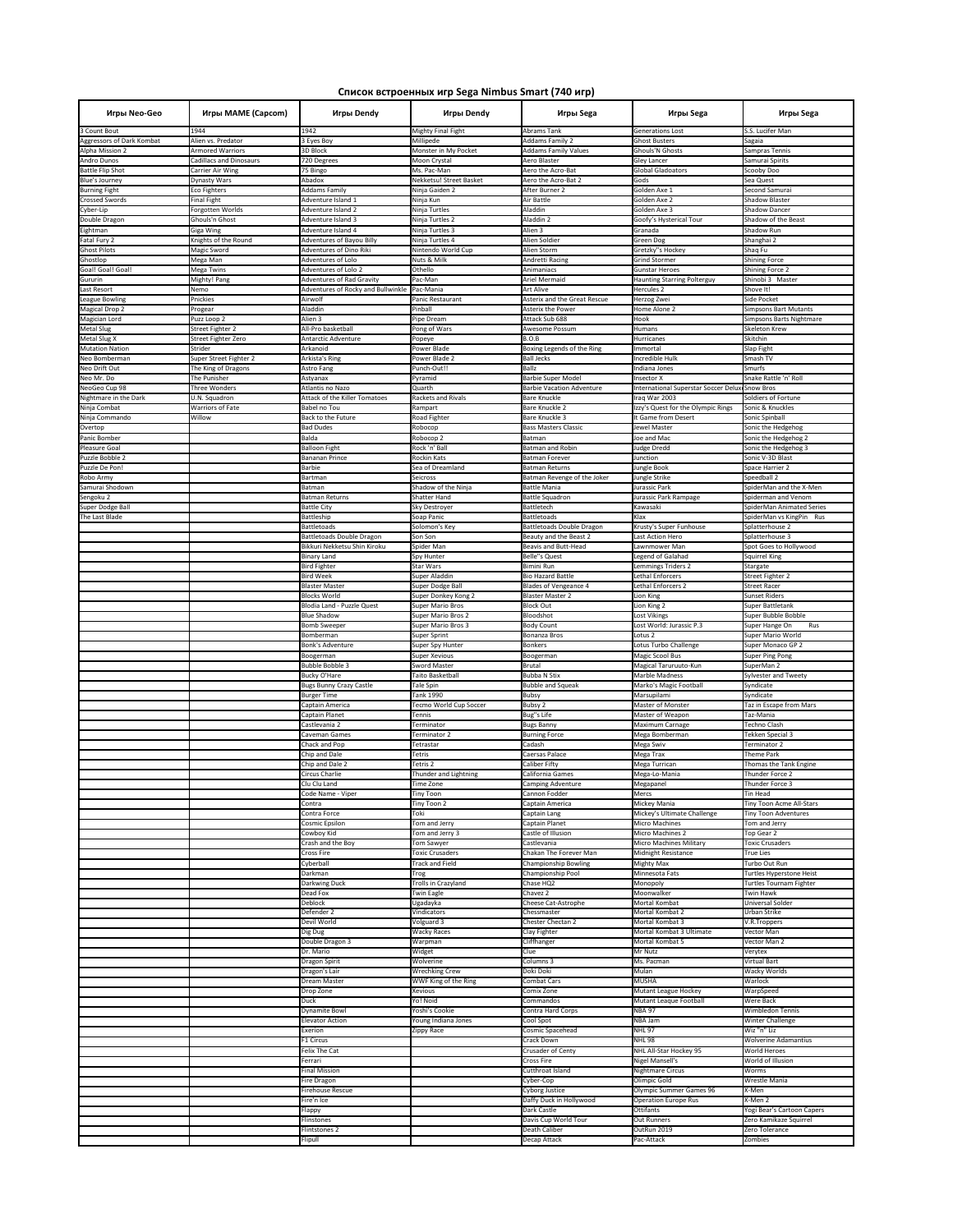| Игры Neo-Geo<br>3 Count Bout                  | Игры MAME (Capcom)<br>1944                         | Игры Dendy<br>1942                                       | Игры Dendy<br><b>Mighty Final Fight</b>         | Игры Sega<br>Abrams Tank                         | Игры Sega<br><b>Generations Lost</b>                            | Игры Sega<br>S.S. Lucifer Man                        |
|-----------------------------------------------|----------------------------------------------------|----------------------------------------------------------|-------------------------------------------------|--------------------------------------------------|-----------------------------------------------------------------|------------------------------------------------------|
| Aggressors of Dark Kombat                     | Alien vs. Predator                                 | 3 Eyes Boy                                               | Millipede                                       | <b>Addams Family 2</b>                           | <b>Ghost Busters</b>                                            | Sagaia                                               |
| <b>Alpha Mission 2</b>                        | <b>Armored Warriors</b>                            | 3D Block                                                 | Monster in My Pocket                            | <b>Addams Family Values</b>                      | <b>Ghouls'N Ghosts</b>                                          | Sampras Tennis                                       |
| Andro Dunos<br><b>Battle Flip Shot</b>        | <b>Cadillacs and Dinosaurs</b><br>Carrier Air Wing | 720 Degrees<br>75 Bingo                                  | Moon Crystal<br>Ms. Pac-Man                     | Aero Blaster<br>Aero the Acro-Bat                | <b>Gley Lancer</b><br><b>Global Gladoators</b>                  | Samurai Spirits<br>Scooby Doo                        |
| <b>Blue's Journey</b>                         | Dynasty Wars                                       | Abadox                                                   | Nekketsu! Street Basket                         | Aero the Acro-Bat 2                              | Gods                                                            | Sea Quest                                            |
| <b>Burning Fight</b><br><b>Crossed Swords</b> | <b>Eco Fighters</b><br>Final Fight                 | <b>Addams Family</b><br>Adventure Island 1               | Ninja Gaiden 2<br>Ninja Kun                     | After Burner 2<br>Air Battle                     | Golden Axe 1<br>Golden Axe 2                                    | Second Samurai<br>Shadow Blaster                     |
| Cyber-Lip                                     | Forgotten Worlds                                   | <b>Adventure Island 2</b>                                | Ninja Turtles                                   | Aladdin                                          | Golden Axe 3                                                    | <b>Shadow Dancer</b>                                 |
| Double Dragon<br>Eightman                     | Ghouls'n Ghost<br>Giga Wing                        | Adventure Island 3<br>Adventure Island 4                 | Ninja Turtles 2<br>Ninja Turtles 3              | Aladdin 2<br>Alien 3                             | Goofy's Hysterical Tour<br>Granada                              | Shadow of the Beast<br>Shadow Run                    |
| Fatal Fury 2                                  | Knights of the Round                               | <b>Adventures of Bayou Billy</b>                         | Ninja Turtles 4                                 | Alien Soldier                                    | Green Dog                                                       | Shanghai 2                                           |
| <b>Ghost Pilots</b><br>Ghostlop               | Magic Sword<br>Mega Man                            | Adventures of Dino Riki<br>Adventures of Lolo            | Nintendo World Cup<br>Nuts & Milk               | Alien Storm<br>Andretti Racing                   | Gretzky"s Hockey<br><b>Grind Stormer</b>                        | Shaq Fu<br><b>Shining Force</b>                      |
| Goal! Goal! Goal!                             | Mega Twins                                         | Adventures of Lolo 2                                     | Othello                                         | Animaniacs                                       | <b>Gunstar Heroes</b>                                           | <b>Shining Force 2</b>                               |
| Gururin                                       | Mighty! Pang                                       | Adventures of Rad Gravity                                | Pac-Man                                         | Ariel Mermaid                                    | <b>Haunting Starring Polterguy</b>                              | Shinobi 3 Master                                     |
| Last Resort<br>League Bowling                 | Nemo<br>Pnickies                                   | Adventures of Rocky and Bullwinkle Pac-Mania<br>Airwolf  | Panic Restaurant                                | <b>Art Alive</b><br>Asterix and the Great Rescue | Hercules 2<br>Herzog Zwei                                       | Shove It!<br><b>Side Pocket</b>                      |
| <b>Magical Drop 2</b>                         | Progear                                            | Aladdin                                                  | Pinball                                         | Asterix the Power                                | Home Alone 2                                                    | Simpsons Bart Mutants                                |
| Magician Lord<br><b>Metal Slug</b>            | Puzz Loop 2<br><b>Street Fighter 2</b>             | Alien 3<br>All-Pro basketball                            | Pipe Dream<br>Pong of Wars                      | Attack Sub 688<br>Awesome Possum                 | Hook<br>Humans                                                  | Simpsons Barts Nightmare<br>Skeleton Krew            |
| Metal Slug X                                  | Street Fighter Zero                                | Antarctic Adventure                                      | Popeye                                          | B.O.B                                            | <b>Hurricanes</b>                                               | Skitchin                                             |
| <b>Mutation Nation</b><br>Neo Bomberman       | Strider<br>Super Street Fighter 2                  | Arkanoid<br>Arkista's Ring                               | Power Blade<br>Power Blade 2                    | Boxing Legends of the Ring<br><b>Ball Jecks</b>  | Immortal<br>Incredible Hulk                                     | <b>Slap Fight</b><br>Smash TV                        |
| Neo Drift Out                                 | The King of Dragons                                | Astro Fang                                               | Punch-Out!!                                     | Ballz                                            | Indiana Jones                                                   | Smurfs                                               |
| Neo Mr. Do                                    | The Punisher                                       | Astyanax                                                 | Pyramid                                         | <b>Barbie Super Model</b>                        | Insector X                                                      | Snake Rattle 'n' Roll                                |
| NeoGeo Cup 98<br>Nightmare in the Dark        | Three Wonders<br>U.N. Squadron                     | Atlantis no Nazo<br><b>Attack of the Killer Tomatoes</b> | Quarth<br>Rackets and Rivals                    | <b>Barbie Vacation Adventure</b><br>Bare Knuckle | International Superstar Soccer Delux Snow Bros<br>Iraq War 2003 | Soldiers of Fortune                                  |
| Ninja Combat                                  | <b>Warriors of Fate</b>                            | Babel no Tou                                             | Rampart                                         | Bare Knuckle 2                                   | Izzy's Quest for the Olympic Rings                              | Sonic & Knuckles                                     |
| Ninja Commando<br>Overtop                     | Willow                                             | Back to the Future<br><b>Bad Dudes</b>                   | Road Fighter<br>Robocop                         | Bare Knuckle 3<br><b>Bass Masters Classic</b>    | It Game from Desert<br><b>Jewel Master</b>                      | Sonic Spinball<br>Sonic the Hedgehog                 |
| Panic Bomber                                  |                                                    | <b>Balda</b>                                             | Robocop 2                                       | Batman                                           | Joe and Mac                                                     | Sonic the Hedgehog 2                                 |
| <b>Pleasure Goal</b>                          |                                                    | <b>Balloon Fight</b>                                     | Rock 'n' Ball                                   | <b>Batman and Robin</b>                          | Judge Dredd                                                     | Sonic the Hedgehog 3                                 |
| Puzzle Bobble 2<br>Puzzle De Pon!             |                                                    | <b>Bananan Prince</b><br>Barbie                          | Rockin Kats<br>Sea of Dreamland                 | <b>Batman Forever</b><br><b>Batman Returns</b>   | Junction<br>Jungle Book                                         | Sonic V-3D Blast<br>Space Harrier 2                  |
| Robo Army                                     |                                                    | Bartman                                                  | Seicross                                        | Batman Revenge of the Joker                      | Jungle Strike                                                   | Speedball 2                                          |
| Samurai Shodown<br>Sengoku 2                  |                                                    | Batman<br><b>Batman Returns</b>                          | Shadow of the Ninja<br>Shatter Hand             | <b>Battle Mania</b><br><b>Battle Squadron</b>    | Jurassic Park<br>Jurassic Park Rampage                          | SpiderMan and the X-Men<br>Spiderman and Venom       |
| Super Dodge Ball                              |                                                    | <b>Battle City</b>                                       | Sky Destroyer                                   | Battletech                                       | Kawasaki                                                        | SpiderMan Animated Series                            |
| The Last Blade                                |                                                    | Battleship<br><b>Battletoads</b>                         | Soap Panic                                      | <b>Battletoads</b><br>Battletoads Double Dragon  | Klax<br>Krusty's Super Funhouse                                 | SpiderMan vs KingPin Rus                             |
|                                               |                                                    | Battletoads Double Dragon                                | Solomon's Key<br>Son Son                        | Beauty and the Beast 2                           | Last Action Hero                                                | Splatterhouse 2<br>Splatterhouse 3                   |
|                                               |                                                    | Bikkuri Nekketsu Shin Kiroku                             | Spider Man                                      | Beavis and Butt-Head                             | Lawnmower Man                                                   | Spot Goes to Hollywood                               |
|                                               |                                                    | <b>Binary Land</b><br><b>Bird Fighter</b>                | Spy Hunter<br>Star Wars                         | <b>Belle"s Quest</b><br>Bimini Run               | Legend of Galahad<br>Lemmings Triders 2                         | Squirrel King<br>Stargate                            |
|                                               |                                                    | <b>Bird Week</b>                                         | Super Aladdin                                   | <b>Bio Hazard Battle</b>                         | Lethal Enforcers                                                | <b>Street Fighter 2</b>                              |
|                                               |                                                    | <b>Blaster Master</b><br><b>Blocks World</b>             | Super Dodge Ball<br>Super Donkey Kong 2         | Blades of Vengeance 4<br><b>Blaster Master 2</b> | Lethal Enforcers 2<br>Lion King                                 | <b>Street Racer</b><br><b>Sunset Riders</b>          |
|                                               |                                                    | Blodia Land - Puzzle Quest                               | Super Mario Bros                                | <b>Block Out</b>                                 | Lion King 2                                                     | Super Battletank                                     |
|                                               |                                                    | <b>Blue Shadow</b><br>Bomb Sweeper                       | <b>Super Mario Bros 2</b><br>Super Mario Bros 3 | Bloodshot<br><b>Body Count</b>                   | Lost Vikings<br>Lost World: Jurassic P.3                        | Super Bubble Bobble<br>Super Hange On<br>Rus         |
|                                               |                                                    | Bomberman                                                | <b>Super Sprint</b>                             | Bonanza Bros                                     | Lotus <sub>2</sub>                                              | Super Mario World                                    |
|                                               |                                                    | Bonk's Adventure                                         | Super Spy Hunter                                | <b>Bonkers</b>                                   | Lotus Turbo Challenge<br><b>Magic Scool Bus</b>                 | Super Monaco GP 2                                    |
|                                               |                                                    | Boogerman<br><b>Bubble Bobble 3</b>                      | <b>Super Xevious</b><br><b>Sword Master</b>     | Boogerman<br><b>Brutal</b>                       | Magical Taruruuto-Kun                                           | Super Ping Pong<br>SuperMan 2                        |
|                                               |                                                    | Bucky O'Hare                                             | Taito Basketball                                | <b>Bubba N Stix</b>                              | <b>Marble Madness</b>                                           | <b>Sylvester and Tweety</b>                          |
|                                               |                                                    | <b>Bugs Bunny Crazy Castle</b><br><b>Burger Time</b>     | Tale Spin<br><b>Tank 1990</b>                   | <b>Bubble and Squeak</b><br><b>Bubsy</b>         | Marko's Magic Football<br>Marsupilami                           | Syndicate<br>Syndicate                               |
|                                               |                                                    | Captain America                                          | Tecmo World Cup Soccer                          | <b>Bubsy 2</b>                                   | Master of Monster                                               | Taz in Escape from Mars                              |
|                                               |                                                    | Captain Planet<br>Castlevania 2                          | Tennis<br>Terminator                            | Bug"s Life<br><b>Bugs Banny</b>                  | Master of Weapon<br>Maximum Carnage                             | Taz-Mania<br><b>Techno Clash</b>                     |
|                                               |                                                    | Caveman Games                                            | Terminator 2                                    | <b>Burning Force</b>                             | Mega Bomberman                                                  | Tekken Special 3                                     |
|                                               |                                                    | Chack and Pop<br>Chip and Dale                           | Tetrastar<br>Tetris                             | Cadash<br>Caersas Palace                         | Mega Swiv<br>Mega Trax                                          | Terminator 2<br>Theme Park                           |
|                                               |                                                    | Chip and Dale 2                                          | Tetris 2                                        | Caliber Fifty                                    | Mega Turrican                                                   | Thomas the Tank Engine                               |
|                                               |                                                    | Circus Charlie                                           | Thunder and Lightning                           | California Games                                 | Mega-Lo-Mania                                                   | Thunder Force 2                                      |
|                                               |                                                    | Clu Clu Land<br>Code Name - Viper                        | Time Zone<br>Tiny Toon                          | Camping Adventure<br>Cannon Fodder               | Megapanel<br>Mercs                                              | Thunder Force 3<br>Tin Head                          |
|                                               |                                                    | Contra                                                   | Tiny Toon 2                                     | Captain America                                  | Mickey Mania                                                    | Tiny Toon Acme All-Stars                             |
|                                               |                                                    | Contra Force<br>Cosmic Epsilon                           | Toki<br>Tom and Jerry                           | Captain Lang<br><b>Captain Planet</b>            | Mickey's Ultimate Challenge<br><b>Micro Machines</b>            | <b>Tiny Toon Adventures</b><br>Tom and Jerry         |
|                                               |                                                    | Cowboy Kid                                               | Tom and Jerry 3                                 | Castle of Illusion                               | Micro Machines 2                                                | Top Gear 2                                           |
|                                               |                                                    | Crash and the Boy<br>Cross Fire                          | Tom Sawyer<br><b>Toxic Crusaders</b>            | Castlevania<br>Chakan The Forever Man            | Micro Machines Military<br><b>Midnight Resistance</b>           | <b>Toxic Crusaders</b><br><b>True Lies</b>           |
|                                               |                                                    | Cyberball                                                | <b>Track and Field</b>                          | Championship Bowling                             | <b>Mighty Max</b>                                               | Turbo Out Run                                        |
|                                               |                                                    | Darkman<br>Darkwing Duck                                 | Trog<br>Trolls in Crazyland                     | Championship Pool<br>Chase HQ2                   | Minnesota Fats<br>Monopoly                                      | Turtles Hyperstone Heist<br>Turtles Tournam Fighter  |
|                                               |                                                    | Dead Fox                                                 | <b>Twin Eagle</b>                               | Chavez 2                                         | Moonwalker                                                      | <b>Twin Hawk</b>                                     |
|                                               |                                                    | Deblock                                                  | Ugadayka                                        | Cheese Cat-Astrophe                              | Mortal Kombat                                                   | <b>Universal Solder</b>                              |
|                                               |                                                    | Defender 2<br>Devil World                                | Vindicators<br>Volguard 3                       | Chessmaster<br>Chester Chectan 2                 | Mortal Kombat 2<br>Mortal Kombat 3                              | Urban Strike<br>V.R.Troppers                         |
|                                               |                                                    | Dig Dug                                                  | <b>Wacky Races</b>                              | Clay Fighter                                     | Mortal Kombat 3 Ultimate                                        | Vector Man                                           |
|                                               |                                                    | Double Dragon 3<br>Dr. Mario                             | Warpman<br>Widget                               | Cliffhanger<br>Clue                              | Mortal Kombat 5<br>Mr Nutz                                      | Vector Man 2<br>Verytex                              |
|                                               |                                                    | Dragon Spirit                                            | Wolverine                                       | Columns 3                                        | Ms. Pacman                                                      | <b>Virtual Bart</b>                                  |
|                                               |                                                    | Dragon's Lair<br>Dream Master                            | <b>Wrechking Crew</b><br>WWF King of the Ring   | Doki Doki<br>Combat Cars                         | <b>Mulan</b><br><b>MUSHA</b>                                    | <b>Wacky Worlds</b><br>Warlock                       |
|                                               |                                                    | Drop Zone                                                | Xevious                                         | Comix Zone                                       | Mutant League Hockey                                            | WarpSpeed                                            |
|                                               |                                                    | <b>Duck</b>                                              | Yo! Noid<br>Yoshi's Cookie                      | Commandos                                        | Mutant Leaque Football<br><b>NBA 97</b>                         | Were Back                                            |
|                                               |                                                    | <b>Dynamite Bowl</b><br><b>Elevator Action</b>           | Young Indiana Jones                             | Contra Hard Corps<br>Cool Spot                   | <b>NBA Jam</b>                                                  | Wimbledon Tennis<br><b>Winter Challenge</b>          |
|                                               |                                                    | Exerion                                                  | Zippy Race                                      | Cosmic Spacehead                                 | <b>NHL 97</b>                                                   | Wiz "n" Liz                                          |
|                                               |                                                    | F1 Circus<br><b>Felix The Cat</b>                        |                                                 | <b>Crack Down</b><br><b>Crusader of Centy</b>    | <b>NHL 98</b><br>NHL All-Star Hockey 95                         | <b>Wolverine Adamantius</b><br><b>World Heroes</b>   |
|                                               |                                                    | Ferrari                                                  |                                                 | <b>Cross Fire</b>                                | <b>Nigel Mansell's</b>                                          | World of Illusion                                    |
|                                               |                                                    | <b>Final Mission</b>                                     |                                                 | Cutthroat Island<br>Cyber-Cop                    | <b>Nightmare Circus</b><br>Olimpic Gold                         | Worms<br>Wrestle Mania                               |
|                                               |                                                    |                                                          |                                                 |                                                  |                                                                 |                                                      |
|                                               |                                                    | Fire Dragon<br>Firehouse Rescue                          |                                                 | Cyborg Justice                                   | <b>Olympic Summer Games 96</b>                                  | X-Men                                                |
|                                               |                                                    | Fire'n Ice                                               |                                                 | Daffy Duck in Hollywood                          | <b>Operation Europe Rus</b>                                     | X-Men 2                                              |
|                                               |                                                    | Flappy<br><b>Flinstones</b>                              |                                                 | Dark Castle<br>Davis Cup World Tour              | Ottifants<br><b>Out Runners</b>                                 | Yogi Bear's Cartoon Capers<br>Zero Kamikaze Squirrel |
|                                               |                                                    | <b>Flintstones 2</b><br><b>Flipull</b>                   |                                                 | Death Caliber<br>Decap Attack                    | OutRun 2019<br>Pac-Attack                                       | Zero Tolerance<br>Zombies                            |

## **Список встроенных игр Sega Nimbus Smart (740 игр)**